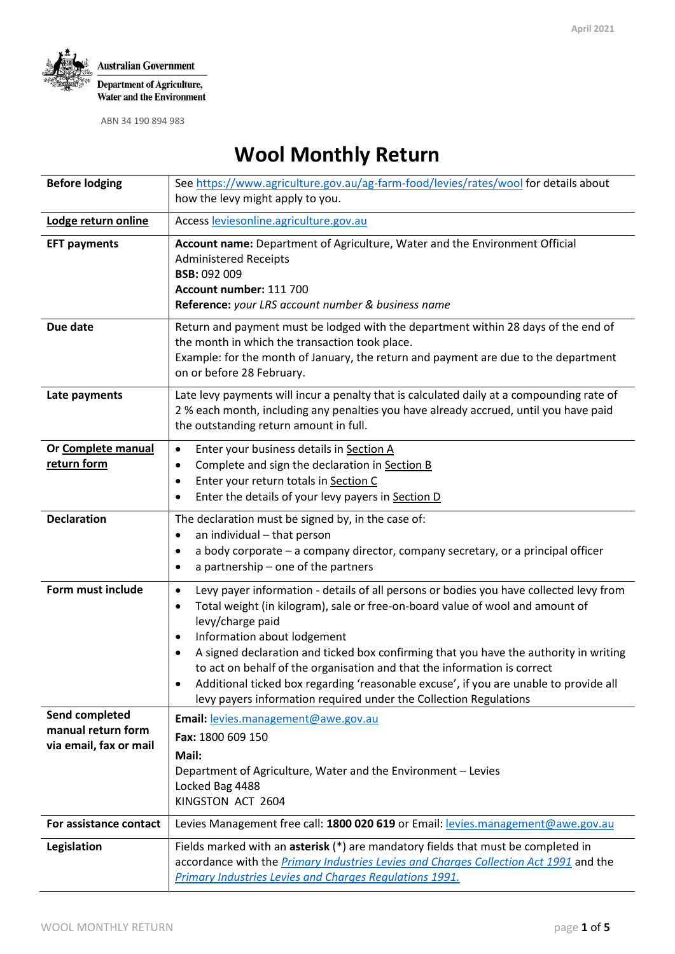

ABN 34 190 894 983

# **Wool Monthly Return**

| <b>Before lodging</b>                                          | See https://www.agriculture.gov.au/ag-farm-food/levies/rates/wool for details about                                                                                                                                                                                                                                                                                                                                                                                                                                                                                                               |  |  |  |  |
|----------------------------------------------------------------|---------------------------------------------------------------------------------------------------------------------------------------------------------------------------------------------------------------------------------------------------------------------------------------------------------------------------------------------------------------------------------------------------------------------------------------------------------------------------------------------------------------------------------------------------------------------------------------------------|--|--|--|--|
|                                                                | how the levy might apply to you.                                                                                                                                                                                                                                                                                                                                                                                                                                                                                                                                                                  |  |  |  |  |
| Lodge return online                                            | Access leviesonline.agriculture.gov.au                                                                                                                                                                                                                                                                                                                                                                                                                                                                                                                                                            |  |  |  |  |
| <b>EFT payments</b>                                            | Account name: Department of Agriculture, Water and the Environment Official<br><b>Administered Receipts</b><br><b>BSB: 092 009</b><br>Account number: 111 700<br>Reference: your LRS account number & business name                                                                                                                                                                                                                                                                                                                                                                               |  |  |  |  |
| Due date                                                       | Return and payment must be lodged with the department within 28 days of the end of<br>the month in which the transaction took place.<br>Example: for the month of January, the return and payment are due to the department<br>on or before 28 February.                                                                                                                                                                                                                                                                                                                                          |  |  |  |  |
| Late payments                                                  | Late levy payments will incur a penalty that is calculated daily at a compounding rate of<br>2 % each month, including any penalties you have already accrued, until you have paid<br>the outstanding return amount in full.                                                                                                                                                                                                                                                                                                                                                                      |  |  |  |  |
| Or Complete manual<br>return form                              | Enter your business details in Section A<br>$\bullet$<br>Complete and sign the declaration in Section B<br>٠<br>Enter your return totals in Section C<br>$\bullet$<br>Enter the details of your levy payers in Section D                                                                                                                                                                                                                                                                                                                                                                          |  |  |  |  |
| <b>Declaration</b>                                             | The declaration must be signed by, in the case of:<br>an individual - that person<br>٠<br>a body corporate - a company director, company secretary, or a principal officer<br>٠<br>a partnership - one of the partners<br>$\bullet$                                                                                                                                                                                                                                                                                                                                                               |  |  |  |  |
| Form must include                                              | Levy payer information - details of all persons or bodies you have collected levy from<br>$\bullet$<br>Total weight (in kilogram), sale or free-on-board value of wool and amount of<br>٠<br>levy/charge paid<br>Information about lodgement<br>٠<br>A signed declaration and ticked box confirming that you have the authority in writing<br>$\bullet$<br>to act on behalf of the organisation and that the information is correct<br>Additional ticked box regarding 'reasonable excuse', if you are unable to provide all<br>levy payers information required under the Collection Regulations |  |  |  |  |
| Send completed<br>manual return form<br>via email, fax or mail | Email: levies.management@awe.gov.au<br>Fax: 1800 609 150<br>Mail:<br>Department of Agriculture, Water and the Environment - Levies<br>Locked Bag 4488<br>KINGSTON ACT 2604                                                                                                                                                                                                                                                                                                                                                                                                                        |  |  |  |  |
| For assistance contact                                         | Levies Management free call: 1800 020 619 or Email: levies.management@awe.gov.au                                                                                                                                                                                                                                                                                                                                                                                                                                                                                                                  |  |  |  |  |
| Legislation                                                    | Fields marked with an asterisk (*) are mandatory fields that must be completed in<br>accordance with the Primary Industries Levies and Charges Collection Act 1991 and the<br>Primary Industries Levies and Charges Regulations 1991.                                                                                                                                                                                                                                                                                                                                                             |  |  |  |  |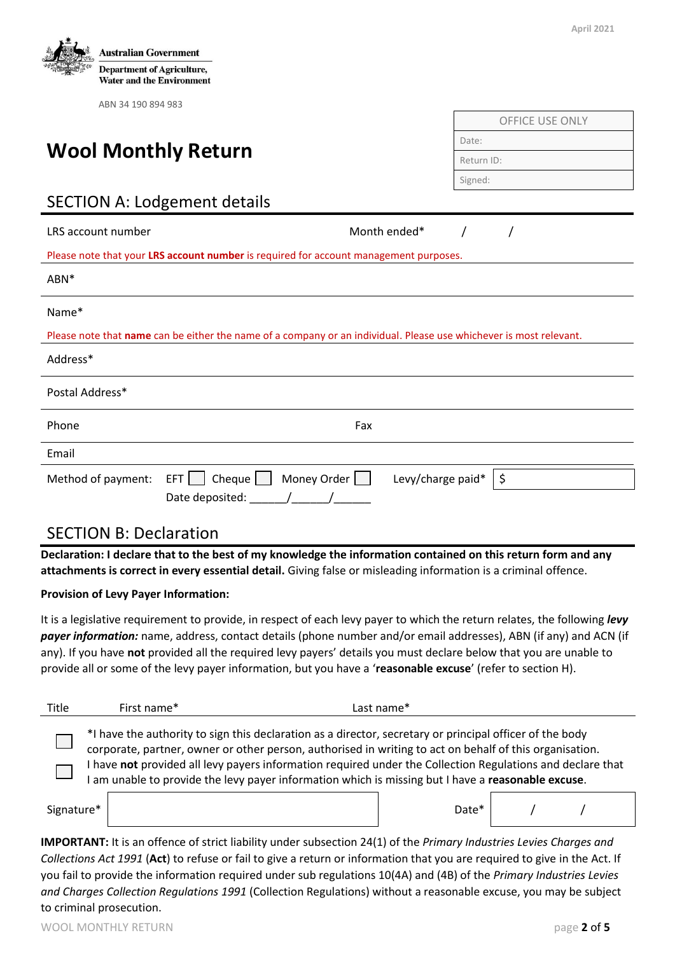

| Postal Address* |                                                                                                         |  |
|-----------------|---------------------------------------------------------------------------------------------------------|--|
| Phone           | Fax                                                                                                     |  |
| Email           |                                                                                                         |  |
|                 | Method of payment: EFT Cheque Money Order Levy/charge paid* $\frac{1}{2}$<br>Date deposited: $\sqrt{2}$ |  |

### SECTION B: Declaration

**Declaration: I declare that to the best of my knowledge the information contained on this return form and any attachments is correct in every essential detail.** Giving false or misleading information is a criminal offence.

#### **Provision of Levy Payer Information:**

It is a legislative requirement to provide, in respect of each levy payer to which the return relates, the following *levy payer information:* name, address, contact details (phone number and/or email addresses), ABN (if any) and ACN (if any). If you have **not** provided all the required levy payers' details you must declare below that you are unable to provide all or some of the levy payer information, but you have a '**reasonable excuse**' (refer to section H).

| Title                                                                                                                                                                                                                                                                                                                                                                                                                                   | First name* | Last name* |  |  |  |  |  |
|-----------------------------------------------------------------------------------------------------------------------------------------------------------------------------------------------------------------------------------------------------------------------------------------------------------------------------------------------------------------------------------------------------------------------------------------|-------------|------------|--|--|--|--|--|
| *I have the authority to sign this declaration as a director, secretary or principal officer of the body<br>corporate, partner, owner or other person, authorised in writing to act on behalf of this organisation.<br>I have not provided all levy payers information required under the Collection Regulations and declare that<br>I am unable to provide the levy payer information which is missing but I have a reasonable excuse. |             |            |  |  |  |  |  |
| Signature*                                                                                                                                                                                                                                                                                                                                                                                                                              |             | Date*      |  |  |  |  |  |

**IMPORTANT:** It is an offence of strict liability under subsection 24(1) of the *Primary Industries Levies Charges and Collections Act 1991* (**Act**) to refuse or fail to give a return or information that you are required to give in the Act. If you fail to provide the information required under sub regulations 10(4A) and (4B) of the *Primary Industries Levies and Charges Collection Regulations 1991* (Collection Regulations) without a reasonable excuse, you may be subject to criminal prosecution.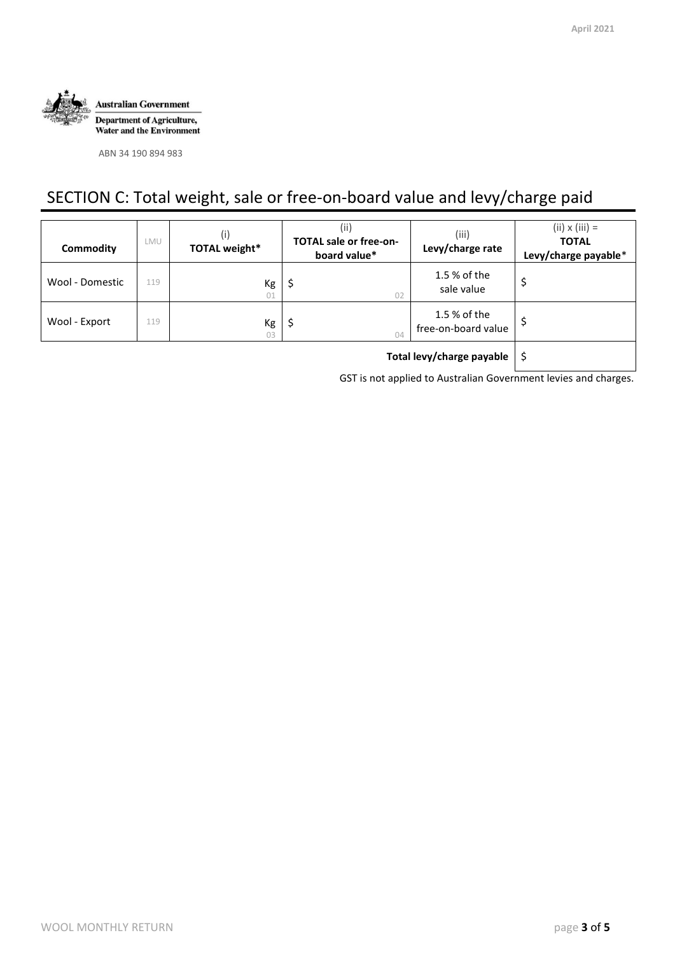

ABN 34 190 894 983

## SECTION C: Total weight, sale or free-on-board value and levy/charge paid

| Commodity       | LMU | (i)<br><b>TOTAL weight*</b> | (ii)<br><b>TOTAL sale or free-on-</b><br>board value* | (iii)<br>Levy/charge rate           | $(ii) \times (iii) =$<br><b>TOTAL</b><br>Levy/charge payable* |
|-----------------|-----|-----------------------------|-------------------------------------------------------|-------------------------------------|---------------------------------------------------------------|
| Wool - Domestic | 119 | Kg<br>01                    | \$,<br>02                                             | 1.5 % of the<br>sale value          | \$                                                            |
| Wool - Export   | 119 | Kg<br>03                    | Ş.<br>04                                              | 1.5 % of the<br>free-on-board value |                                                               |
|                 |     |                             |                                                       |                                     |                                                               |

GST is not applied to Australian Government levies and charges.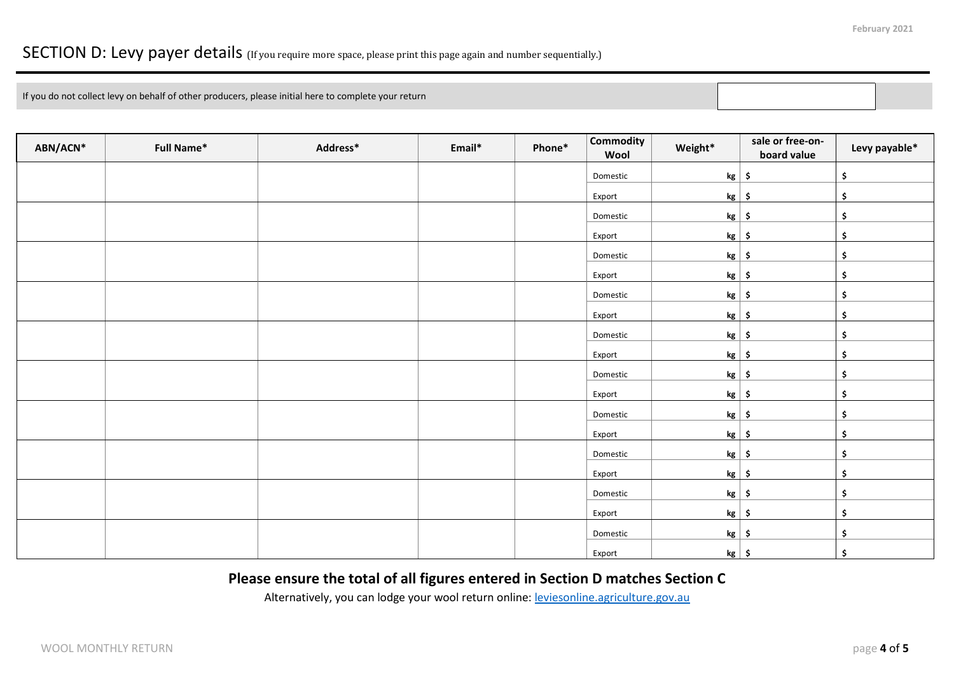### SECTION D: Levy payer details (If you require more space, please print this page again and number sequentially.)

If you do not collect levy on behalf of other producers, please initial here to complete your return

| ABN/ACN* | <b>Full Name*</b> | Address* | Email* | Phone* | <b>Commodity</b><br>Wool | Weight*       | sale or free-on-<br>board value | Levy payable*       |
|----------|-------------------|----------|--------|--------|--------------------------|---------------|---------------------------------|---------------------|
|          |                   |          |        |        | Domestic                 | $kg$ \$       |                                 | \$                  |
|          |                   |          |        |        | Export                   | $kg$ \$       |                                 | \$                  |
|          |                   |          |        |        | Domestic                 | $kg \mid$ \$  |                                 | \$                  |
|          |                   |          |        |        | Export                   | $kg$ \$       |                                 | \$                  |
|          |                   |          |        |        | Domestic                 | $kg \mid$ \$  |                                 | \$                  |
|          |                   |          |        |        | Export                   | $kg$ \$       |                                 | \$                  |
|          |                   |          |        |        | Domestic                 | $kg \mid \xi$ |                                 | \$                  |
|          |                   |          |        |        | Export                   | $kg$ \$       |                                 | \$                  |
|          |                   |          |        |        | Domestic                 | $kg$ \$       |                                 | \$                  |
|          |                   |          |        |        | Export                   | $kg$ \$       |                                 | \$                  |
|          |                   |          |        |        | Domestic                 | $kg \mid$ \$  |                                 | \$                  |
|          |                   |          |        |        | Export                   | $kg$ \$       |                                 | \$                  |
|          |                   |          |        |        | Domestic                 | $kg \mid \xi$ |                                 | \$                  |
|          |                   |          |        |        | Export                   | $kg$ \$       |                                 | \$                  |
|          |                   |          |        |        | Domestic                 | $kg$ \$       |                                 | \$                  |
|          |                   |          |        |        | Export                   | $kg \mid$ \$  |                                 | \$                  |
|          |                   |          |        |        | Domestic                 | $kg \mid$ \$  |                                 | \$                  |
|          |                   |          |        |        | Export                   | $kg$ \$       |                                 | $\ddot{\bm{\zeta}}$ |
|          |                   |          |        |        | Domestic                 | $kg \mid$ \$  |                                 | \$                  |
|          |                   |          |        |        | Export                   | $kg \mid$ \$  |                                 | $\frac{1}{2}$       |

#### **Please ensure the total of all figures entered in Section D matches Section C**

Alternatively, you can lodge your wool return online[: leviesonline.agriculture.gov.au](https://www.agriculture.gov.au/ag-farm-food/levies/lodging-returns-paying-levies/leviesonline)